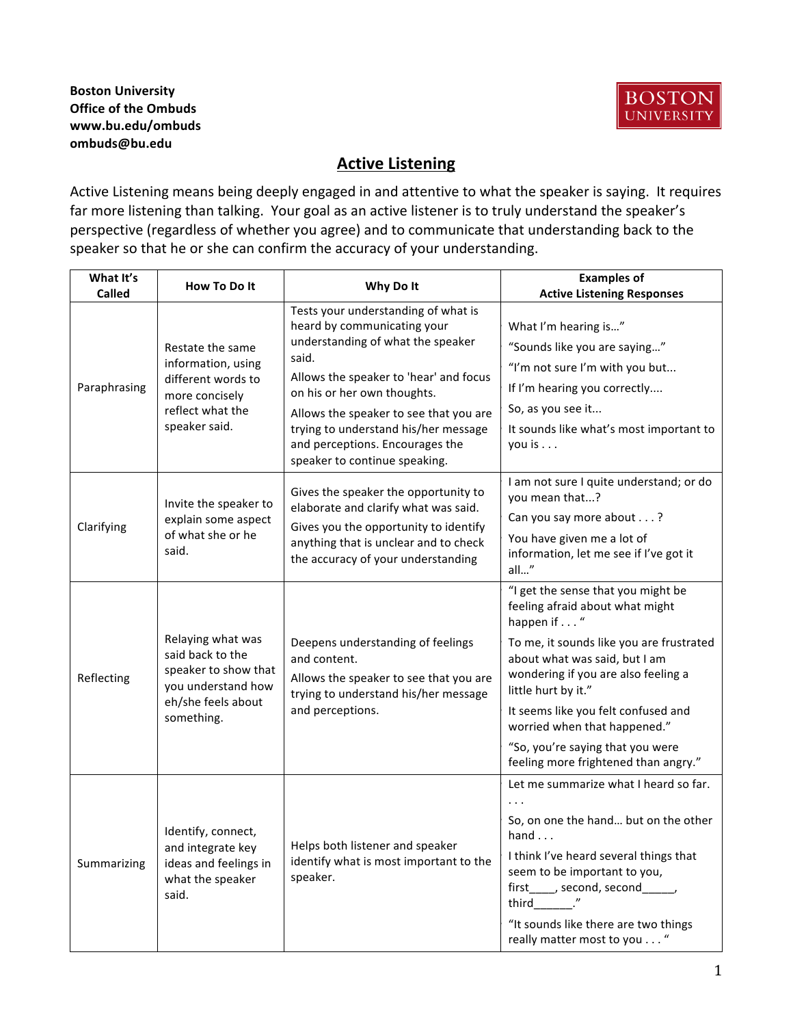#### **Boston University Office of the Ombuds www.bu.edu/ombuds ombuds@bu.edu**



#### **Active Listening**

Active Listening means being deeply engaged in and attentive to what the speaker is saying. It requires far more listening than talking. Your goal as an active listener is to truly understand the speaker's perspective (regardless of whether you agree) and to communicate that understanding back to the speaker so that he or she can confirm the accuracy of your understanding.

| What It's<br><b>Called</b> | How To Do It                                                                                                            | Why Do It                                                                                                                                                                                                                                                                                                                                       | <b>Examples of</b><br><b>Active Listening Responses</b>                                                                                                                                                                                                                                                                                                                            |
|----------------------------|-------------------------------------------------------------------------------------------------------------------------|-------------------------------------------------------------------------------------------------------------------------------------------------------------------------------------------------------------------------------------------------------------------------------------------------------------------------------------------------|------------------------------------------------------------------------------------------------------------------------------------------------------------------------------------------------------------------------------------------------------------------------------------------------------------------------------------------------------------------------------------|
| Paraphrasing               | Restate the same<br>information, using<br>different words to<br>more concisely<br>reflect what the<br>speaker said.     | Tests your understanding of what is<br>heard by communicating your<br>understanding of what the speaker<br>said.<br>Allows the speaker to 'hear' and focus<br>on his or her own thoughts.<br>Allows the speaker to see that you are<br>trying to understand his/her message<br>and perceptions. Encourages the<br>speaker to continue speaking. | What I'm hearing is"<br>"Sounds like you are saying"<br>"I'm not sure I'm with you but<br>If I'm hearing you correctly<br>So, as you see it<br>It sounds like what's most important to<br>you is $\ldots$                                                                                                                                                                          |
| Clarifying                 | Invite the speaker to<br>explain some aspect<br>of what she or he<br>said.                                              | Gives the speaker the opportunity to<br>elaborate and clarify what was said.<br>Gives you the opportunity to identify<br>anything that is unclear and to check<br>the accuracy of your understanding                                                                                                                                            | I am not sure I quite understand; or do<br>you mean that?<br>Can you say more about?<br>You have given me a lot of<br>information, let me see if I've got it<br>all"                                                                                                                                                                                                               |
| Reflecting                 | Relaying what was<br>said back to the<br>speaker to show that<br>you understand how<br>eh/she feels about<br>something. | Deepens understanding of feelings<br>and content.<br>Allows the speaker to see that you are<br>trying to understand his/her message<br>and perceptions.                                                                                                                                                                                         | "I get the sense that you might be<br>feeling afraid about what might<br>happen if "<br>To me, it sounds like you are frustrated<br>about what was said, but I am<br>wondering if you are also feeling a<br>little hurt by it."<br>It seems like you felt confused and<br>worried when that happened."<br>"So, you're saying that you were<br>feeling more frightened than angry." |
| Summarizing                | Identify, connect,<br>and integrate key<br>ideas and feelings in<br>what the speaker<br>said.                           | Helps both listener and speaker<br>identify what is most important to the<br>speaker.                                                                                                                                                                                                                                                           | Let me summarize what I heard so far.<br>So, on one the hand but on the other<br>hand<br>I think I've heard several things that<br>seem to be important to you,<br>first____, second, second_____,<br>third ."<br>"It sounds like there are two things<br>really matter most to you "                                                                                              |